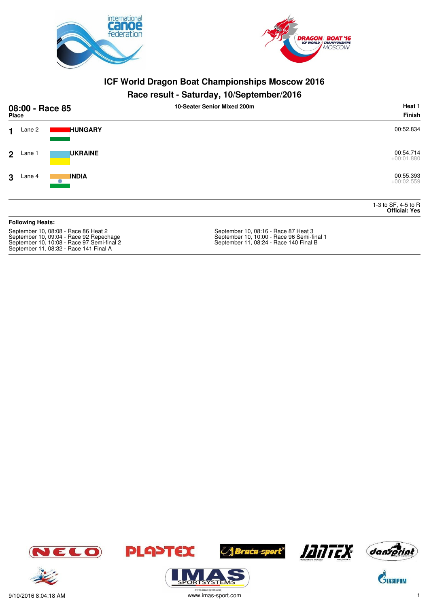



#### **Race result - Saturday, 10/September/2016**

| 08:00 - Race 85<br><b>Place</b>                                                                                                                                         |                         |                | 10-Seater Senior Mixed 200m                                                                                                  | Heat 1<br><b>Finish</b>                     |
|-------------------------------------------------------------------------------------------------------------------------------------------------------------------------|-------------------------|----------------|------------------------------------------------------------------------------------------------------------------------------|---------------------------------------------|
| 1                                                                                                                                                                       | Lane 2                  | <b>HUNGARY</b> |                                                                                                                              | 00:52.834                                   |
| $\overline{2}$                                                                                                                                                          | Lane 1                  | <b>UKRAINE</b> |                                                                                                                              | 00:54.714<br>$+00:01.880$                   |
| 3                                                                                                                                                                       | Lane 4                  | <b>INDIA</b>   |                                                                                                                              | 00:55.393<br>$+00:02.559$                   |
|                                                                                                                                                                         |                         |                |                                                                                                                              | 1-3 to SF, 4-5 to R<br><b>Official: Yes</b> |
|                                                                                                                                                                         | <b>Following Heats:</b> |                |                                                                                                                              |                                             |
| September 10, 08:08 - Race 86 Heat 2<br>September 10, 09:04 - Race 92 Repechage<br>September 10, 10:08 - Race 97 Semi-final 2<br>September 11, 08:32 - Race 141 Final A |                         |                | September 10, 08:16 - Race 87 Heat 3<br>September 10, 10:00 - Race 96 Semi-final 1<br>September 11, 08:24 - Race 140 Final B |                                             |













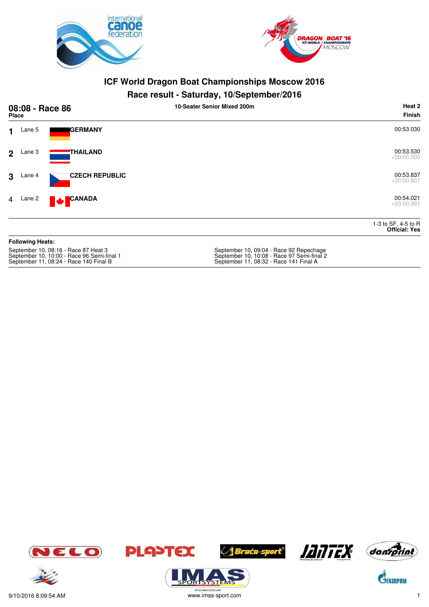



#### **Race result - Saturday, 10/September/2016**

| 08:08 - Race 86<br><b>Place</b> |                         |                                      | 10-Seater Senior Mixed 200m             | Heat 2<br><b>Finish</b>                     |
|---------------------------------|-------------------------|--------------------------------------|-----------------------------------------|---------------------------------------------|
| 1                               | Lane 5                  | <b>I</b> GERMANY                     |                                         | 00:53.030                                   |
| $\overline{2}$                  | Lane 3                  | THAILAND                             |                                         | 00:53.530<br>$+00:00.500$                   |
| 3                               | Lane 4                  | <b>CZECH REPUBLIC</b>                |                                         | 00:53.837<br>$+00:00.807$                   |
| $\overline{4}$                  | Lane 2                  | <b>CANADA</b><br><b>M</b>            |                                         | 00:54.021<br>$+00:00.991$                   |
|                                 |                         |                                      |                                         | 1-3 to SF, 4-5 to R<br><b>Official: Yes</b> |
|                                 | <b>Following Heats:</b> |                                      |                                         |                                             |
|                                 |                         | September 10, 08:16 - Race 87 Heat 3 | September 10, 09:04 - Race 92 Repechage |                                             |

September 11, 08:24 - Race 140 Final B September 11, 08:32 - Race 141 Final A

September 10, 09.04 - Race 97 Semi-final 2<br>September 10, 10:08 - Race 97 Semi-final 2<br>September 11, 08:32 - Race 141 Final A











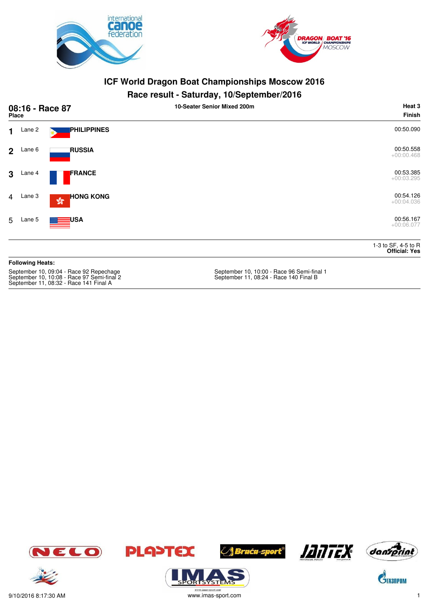



#### **Race result - Saturday, 10/September/2016**

|                | 08:16 - Race 87<br>Place |                                   | . .<br>10-Seater Senior Mixed 200m | Heat 3<br><b>Finish</b>                     |
|----------------|--------------------------|-----------------------------------|------------------------------------|---------------------------------------------|
| $\mathbf 1$    | Lane 2                   | PHILIPPINES                       |                                    | 00:50.090                                   |
| 2 <sup>1</sup> | Lane 6                   | <b>RUSSIA</b>                     |                                    | 00:50.558<br>$+00:00.468$                   |
| $\mathbf{3}$   | Lane 4                   | <b>FRANCE</b>                     |                                    | 00:53.385<br>$+00:03.295$                   |
|                | 4 Lane 3                 | <b>HONG KONG</b><br>$\sqrt[6]{3}$ |                                    | 00:54.126<br>$+00:04.036$                   |
| 5              | Lane 5                   | <b>SILE</b> USA                   |                                    | 00:56.167<br>$+00:06.077$                   |
|                |                          |                                   |                                    | 1-3 to SF, 4-5 to R<br><b>Official: Yes</b> |
|                | <b>Following Heats:</b>  |                                   |                                    |                                             |

September 10, 10:08 - Race 97 Semi-final 2 September 11, 08:24 - Race 140 Final B September 11, 08:32 - Race 141 Final A

September 10, 10:00 - Race 96 Semi-final 1<br>September 11, 08:24 - Race 140 Final B













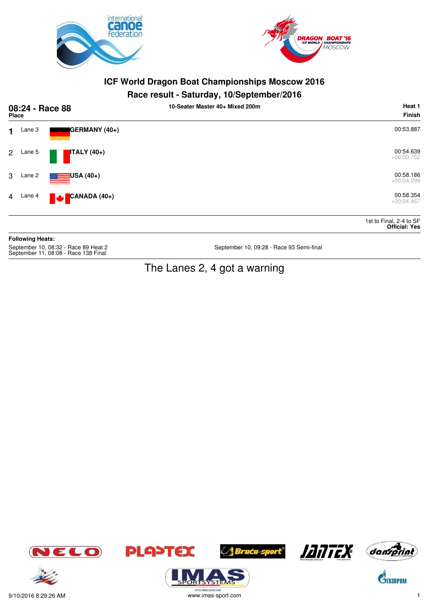



#### **Race result - Saturday, 10/September/2016**

| 08:24 - Race 88<br><b>Place</b> |        |                        | . .<br>10-Seater Master 40+ Mixed 200m | Heat 1<br>Finish                                |
|---------------------------------|--------|------------------------|----------------------------------------|-------------------------------------------------|
| $\mathbf 1$                     | Lane 3 | GERMANY (40+)          |                                        | 00:53.887                                       |
| 2 <sup>1</sup>                  | Lane 5 | $ITALY(40+)$           |                                        | 00:54.639<br>$+00:00.752$                       |
| 3                               | Lane 2 | $\equiv$ USA (40+)     |                                        | 00:58.186<br>$+00:04.299$                       |
| $\overline{4}$                  | Lane 4 | $\bullet$ CANADA (40+) |                                        | 00:58.354<br>$+00:04.467$                       |
|                                 |        |                        |                                        | 1st to Final, 2-4 to SF<br><b>Official: Yes</b> |

**Following Heats:** September 10, 08:32 - Race 89 Heat 2<br>September 11, 08:08 - Race 138 Final

September 10, 09:28 - Race 93 Semi-final

# The Lanes 2, 4 got a warning



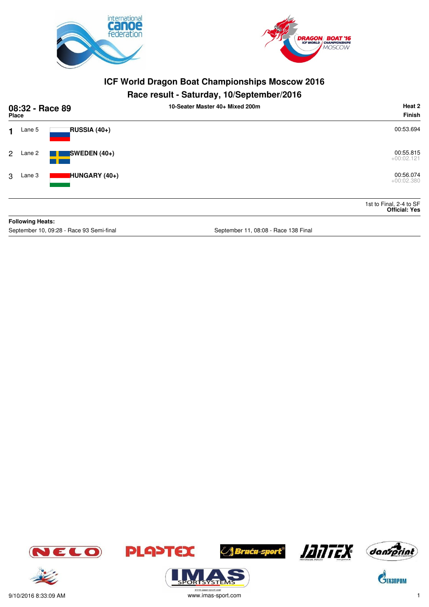



## **Race result - Saturday, 10/September/2016**

| 08:32 - Race 89<br><b>Place</b> |                         |                | 10-Seater Master 40+ Mixed 200m | Heat 2<br><b>Finish</b>                         |
|---------------------------------|-------------------------|----------------|---------------------------------|-------------------------------------------------|
| 1                               | Lane 5                  | RUSSIA (40+)   |                                 | 00:53.694                                       |
| 2                               | Lane 2                  | SWEDEN $(40+)$ |                                 | 00:55.815<br>$+00:02.121$                       |
| 3                               | Lane 3                  | HUNGARY (40+)  |                                 | 00:56.074<br>$+00:02.380$                       |
|                                 |                         |                |                                 | 1st to Final, 2-4 to SF<br><b>Official: Yes</b> |
|                                 | <b>Following Heats:</b> |                |                                 |                                                 |

September 10, 09:28 - Race 93 Semi-final September 11, 08:08 - Race 138 Final September 11, 08:08 - Race 138 Final

















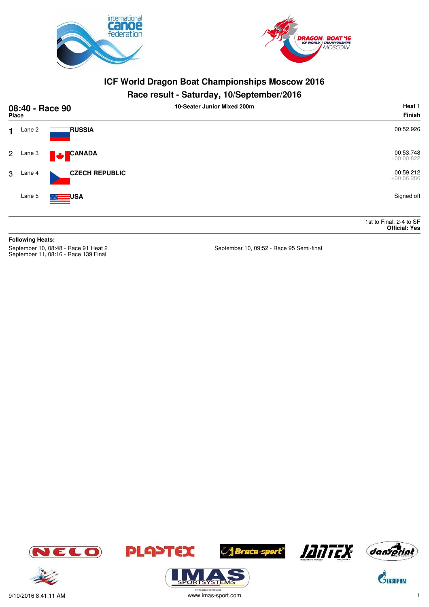



## **Race result - Saturday, 10/September/2016**

| 08:40 - Race 90<br><b>Place</b>                                              |                         |                       | 10-Seater Junior Mixed 200m              | Heat 1<br><b>Finish</b>                         |
|------------------------------------------------------------------------------|-------------------------|-----------------------|------------------------------------------|-------------------------------------------------|
| 1.                                                                           | Lane 2                  | <b>RUSSIA</b>         |                                          | 00:52.926                                       |
| 2                                                                            | Lane 3                  | <b>CANADA</b><br>N.   |                                          | 00:53.748<br>$+00:00.822$                       |
| 3                                                                            | Lane 4                  | <b>CZECH REPUBLIC</b> |                                          | 00:59.212<br>$+00:06.286$                       |
|                                                                              | Lane 5                  | <b>USA</b>            |                                          | Signed off                                      |
|                                                                              |                         |                       |                                          | 1st to Final, 2-4 to SF<br><b>Official: Yes</b> |
|                                                                              | <b>Following Heats:</b> |                       |                                          |                                                 |
| September 10, 08:48 - Race 91 Heat 2<br>September 11, 08:16 - Race 139 Final |                         |                       | September 10, 09:52 - Race 95 Semi-final |                                                 |







**ORISYSTE** 







 $\mathbf{C}^{\!\!\backslash\!}$ Tasnpom



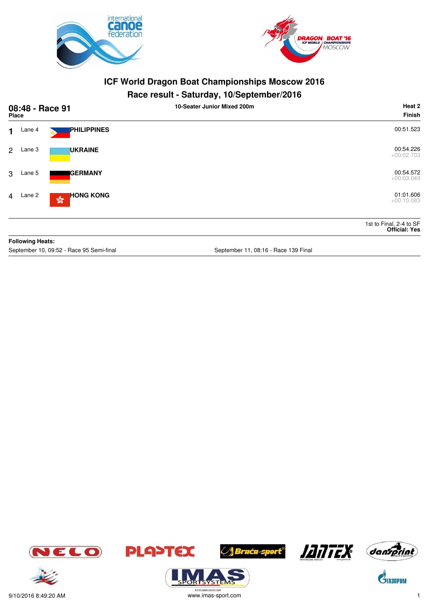



#### **Race result - Saturday, 10/September/2016**

|                | 08:48 - Race 91<br><b>Place</b> |                                                  | . .<br>10-Seater Junior Mixed 200m | Heat 2<br><b>Finish</b>                         |
|----------------|---------------------------------|--------------------------------------------------|------------------------------------|-------------------------------------------------|
| $\mathbf{1}$   | Lane 4                          | <b>PHILIPPINES</b>                               |                                    | 00:51.523                                       |
| $\mathbf{2}$   | Lane 3                          | <b>UKRAINE</b>                                   |                                    | 00:54.226<br>$+00:02.703$                       |
| 3              | Lane 5                          | <b>GERMANY</b>                                   |                                    | 00:54.572<br>$+00:03.049$                       |
| $\overline{4}$ | Lane 2                          | <b>HONG KONG</b><br>$\frac{\sqrt{3}}{2\sqrt{6}}$ |                                    | 01:01.606<br>$+00:10.083$                       |
|                |                                 |                                                  |                                    | 1st to Final, 2-4 to SF<br><b>Official: Yes</b> |
|                | <b>Following Heats:</b>         |                                                  |                                    |                                                 |

September 10, 09:52 - Race 95 Semi-final September 11, 08:16 - Race 139 Final













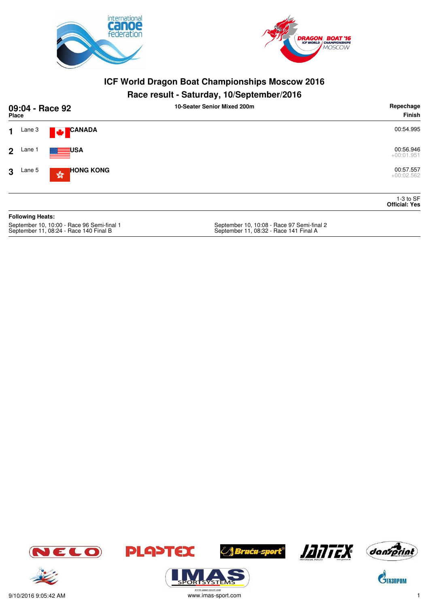



#### **Race result - Saturday, 10/September/2016**

| 09:04 - Race 92<br><b>Place</b>                                 | 10-Seater Senior Mixed 200m               | Repechage<br>Finish                 |
|-----------------------------------------------------------------|-------------------------------------------|-------------------------------------|
| <b>CANADA</b><br>Lane 3<br>1.<br><b>A</b>                       |                                           | 00:54.995                           |
| <b>EXAMPLE</b> USA<br>Lane 1<br>$2^{\circ}$                     |                                           | 00:56.946<br>$+00:01.951$           |
| <b>HONG KONG</b><br>Lane 5<br>3<br>$\frac{\sqrt{3}}{2\sqrt{3}}$ |                                           | 00:57.557<br>$+00:02.562$           |
|                                                                 |                                           | $1-3$ to SF<br><b>Official: Yes</b> |
| <b>Following Heats:</b>                                         |                                           |                                     |
| Contambor 10, 10:00, Page 06 Cami final 1                       | Soptember 10, 10:08, Pace 07 Semi final 2 |                                     |

September 10, 10:00 - Race 96 Semi-final 1<br>September 11, 08:24 - Race 140 Final B

September 10, 10:08 - Race 97 Semi-final 2<br>September 11, 08:32 - Race 141 Final A











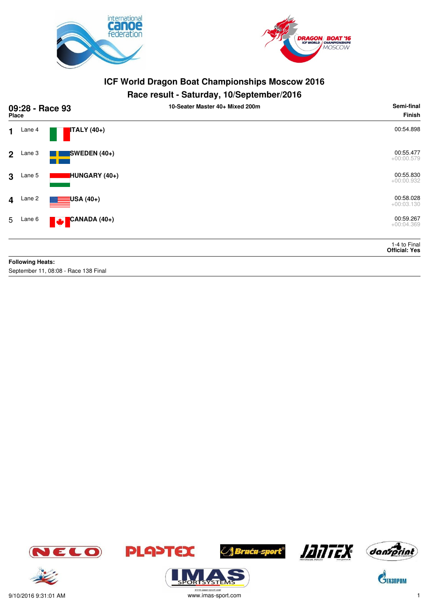



## **Race result - Saturday, 10/September/2016**

| 09:28 - Race 93<br>Place |                         |                                      | 10-Seater Master 40+ Mixed 200m | Semi-final<br><b>Finish</b>          |
|--------------------------|-------------------------|--------------------------------------|---------------------------------|--------------------------------------|
| $\mathbf{1}$             | Lane 4                  | $ITALY(40+)$                         |                                 | 00:54.898                            |
| $\overline{2}$           | Lane 3                  | SWEDEN (40+)                         |                                 | 00:55.477<br>$+00:00.579$            |
| 3                        | Lane 5                  | HUNGARY (40+)                        |                                 | 00:55.830<br>$+00:00.932$            |
| $\overline{\mathbf{4}}$  | Lane 2                  | $\equiv$ USA (40+)                   |                                 | 00:58.028<br>$+00:03.130$            |
| 5                        | Lane 6                  | CANADA (40+)<br><b>A</b>             |                                 | 00:59.267<br>$+00:04.369$            |
|                          |                         |                                      |                                 | 1-4 to Final<br><b>Official: Yes</b> |
|                          | <b>Following Heats:</b> |                                      |                                 |                                      |
|                          |                         | September 11, 08:08 - Race 138 Final |                                 |                                      |









**ORTSYSTEM** 





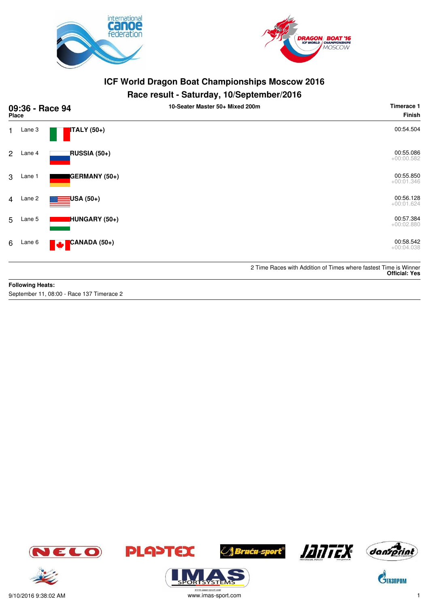



#### **Race result - Saturday, 10/September/2016**

| 09:36 - Race 94<br>Place |        |                     | 10-Seater Master 50+ Mixed 200m | Timerace 1<br><b>Finish</b>                                                              |
|--------------------------|--------|---------------------|---------------------------------|------------------------------------------------------------------------------------------|
| $\mathbf{1}$             | Lane 3 | ITALY (50+)         |                                 | 00:54.504                                                                                |
| $\overline{2}$           | Lane 4 | <b>RUSSIA (50+)</b> |                                 | 00:55.086<br>$+00:00.582$                                                                |
| 3                        | Lane 1 | GERMANY (50+)       |                                 | 00:55.850<br>$+00:01.346$                                                                |
| 4                        | Lane 2 | USA (50+)           |                                 | 00:56.128<br>$+00:01.624$                                                                |
| 5                        | Lane 5 | HUNGARY (50+)       |                                 | 00:57.384<br>$+00:02.880$                                                                |
| 6                        | Lane 6 | CANADA (50+)<br>M   |                                 | 00:58.542<br>$+00:04.038$                                                                |
|                          |        |                     |                                 | 2 Time Races with Addition of Times where fastest Time is Winner<br><b>Official: Yes</b> |

#### **Following Heats:**

September 11, 08:00 - Race 137 Timerace 2













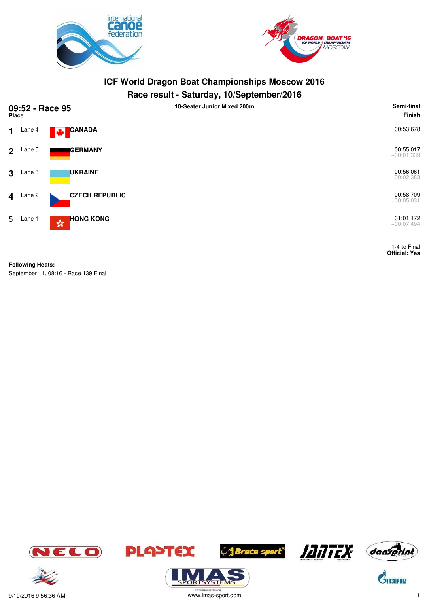



#### **Race result - Saturday, 10/September/2016**

|                         | 09:52 - Race 95<br><b>Place</b> |                                                   | - -<br>10-Seater Junior Mixed 200m | Semi-final<br><b>Finish</b>          |
|-------------------------|---------------------------------|---------------------------------------------------|------------------------------------|--------------------------------------|
| $\mathbf 1$             | Lane 4                          | <b>CANADA</b><br>M                                |                                    | 00:53.678                            |
|                         | $2$ Lane 5                      | <b>IGERMANY</b>                                   |                                    | 00:55.017<br>$+00:01.339$            |
| $\mathbf{3}$            | Lane 3                          | <b>UKRAINE</b>                                    |                                    | 00:56.061<br>$+00:02.383$            |
| $\overline{\mathbf{4}}$ | Lane 2                          | <b>CZECH REPUBLIC</b>                             |                                    | 00:58.709<br>$+00:05.031$            |
| 5                       | Lane 1                          | <b>HONG KONG</b><br>$\mathbb{S}^{\mathbb{S}^n}_0$ |                                    | 01:01.172<br>$+00:07.494$            |
|                         |                                 |                                                   |                                    | 1-4 to Final<br><b>Official: Yes</b> |
|                         | <b>Following Heats:</b>         |                                                   |                                    |                                      |
|                         |                                 | September 11, 08:16 - Race 139 Final              |                                    |                                      |







**ORTSYSTEM** 







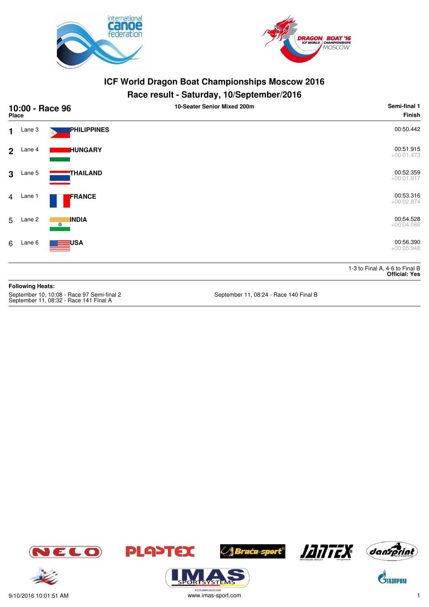



#### **Race result - Saturday, 10/September/2016**

| 10:00 - Race 96<br>Place |        |                            | 10-Seater Senior Mixed 200m | Semi-final 1<br><b>Finish</b>                          |
|--------------------------|--------|----------------------------|-----------------------------|--------------------------------------------------------|
| $\mathbf 1$              | Lane 3 | <b>PHILIPPINES</b>         |                             | 00:50.442                                              |
| 2 <sup>1</sup>           | Lane 4 | <b>HUNGARY</b>             |                             | 00:51.915<br>$+00:01.473$                              |
| $\mathbf{3}$             | Lane 5 | THAILAND                   |                             | 00:52.359<br>$+00:01.917$                              |
| $\overline{4}$           | Lane 1 | FRANCE                     |                             | 00:53.316<br>$+00:02.874$                              |
| 5                        | Lane 2 | <b>INDIA</b><br>$^{\circ}$ |                             | 00:54.528<br>$+00:04.086$                              |
| 6                        | Lane 6 | <b>ENSA</b>                |                             | 00:56.390<br>$+00:05.948$                              |
|                          |        |                            |                             | 1-3 to Final A, 4-6 to Final B<br><b>Official: Yes</b> |

**Following Heats:** September 10, 10:08 - Race 97 Semi-final 2 September 11, 08:24 - Race 140 Final B September 11, 08:32 - Race 141 Final A





**PLA>TEX** 



**/ Braća-sport<sup>®</sup>** 





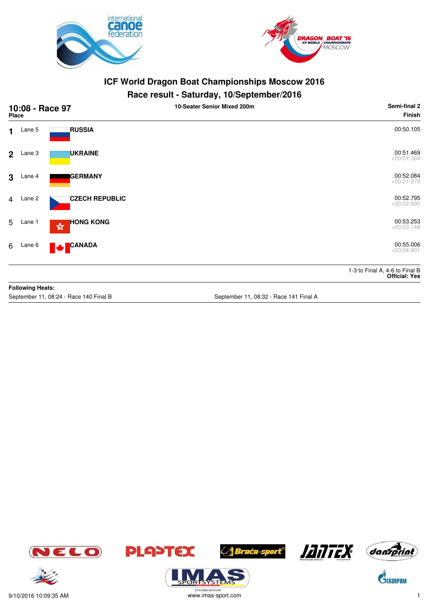



#### **Race result - Saturday, 10/September/2016**

|                | 10:08 - Race 97<br><b>Place</b> |                                                   | 10-Seater Senior Mixed 200m | Semi-final 2<br>Finish                                 |
|----------------|---------------------------------|---------------------------------------------------|-----------------------------|--------------------------------------------------------|
| 1              | Lane 5                          | <b>RUSSIA</b>                                     |                             | 00:50.105                                              |
| $2^{\circ}$    | Lane 3                          | <b>UKRAINE</b>                                    |                             | 00:51.469<br>$+00:01.364$                              |
| 3              | Lane 4                          | <b>IGERMANY</b>                                   |                             | 00:52.084<br>$+00:01.979$                              |
| $\overline{4}$ | Lane 2                          | <b>CZECH REPUBLIC</b>                             |                             | 00:52.795<br>$+00:02.690$                              |
| 5              | Lane 1                          | <b>HONG KONG</b><br>$\mathbb{S}^{\mathbb{S}^n}_0$ |                             | 00:53.253<br>$+00:03.148$                              |
| 6              | Lane 6                          | <b>CANADA</b><br><b>M</b>                         |                             | 00:55.006<br>$+00:04.901$                              |
|                |                                 |                                                   |                             | 1-3 to Final A, 4-6 to Final B<br><b>Official: Yes</b> |
|                | <b>Following Heats:</b>         |                                                   |                             |                                                        |

September 11, 08:24 - Race 140 Final B September 11, 08:32 - Race 141 Final A













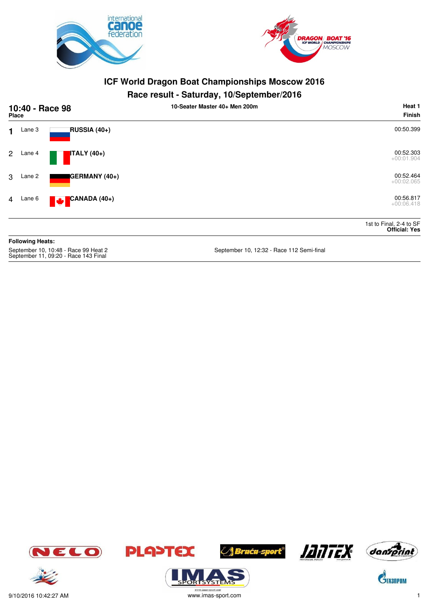



#### **Race result - Saturday, 10/September/2016**

|                | 10:40 - Race 98<br><b>Place</b> |                                             | 10-Seater Master 40+ Men 200m | Heat 1<br>Finish                                |
|----------------|---------------------------------|---------------------------------------------|-------------------------------|-------------------------------------------------|
| $\mathbf 1$    | Lane 3                          | <b>RUSSIA (40+)</b>                         |                               | 00:50.399                                       |
| $\mathbf{2}$   | Lane 4                          | <b>ITALY</b> (40+)                          |                               | 00:52.303<br>$+00:01.904$                       |
| 3              | Lane 2                          | GERMANY (40+)                               |                               | 00:52.464<br>$+00:02.065$                       |
| $\overline{4}$ | Lane 6                          | <mark>'</mark> CANADA (40+)<br><b>Maria</b> |                               | 00:56.817<br>$+00:06.418$                       |
|                |                                 |                                             |                               | 1st to Final, 2-4 to SF<br><b>Official: Yes</b> |
|                | <b>Following Heats:</b>         |                                             |                               |                                                 |

September 10, 10:48 - Race 99 Heat 2<br>September 11, 09:20 - Race 143 Final

September 10, 12:32 - Race 112 Semi-final













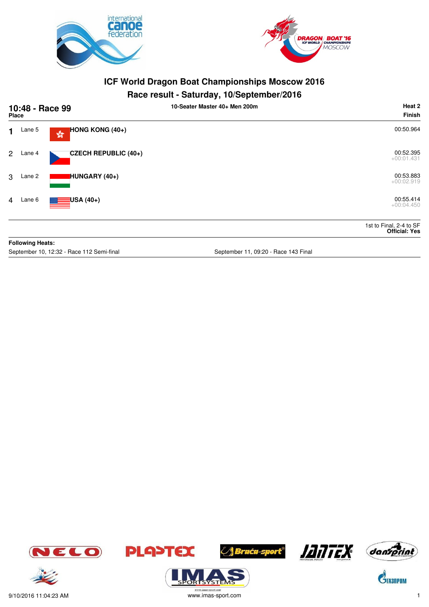



## **Race result - Saturday, 10/September/2016**

|                | 10:48 - Race 99<br>Place |                                                         | 10-Seater Master 40+ Men 200m | Heat 2<br><b>Finish</b>                         |
|----------------|--------------------------|---------------------------------------------------------|-------------------------------|-------------------------------------------------|
| 1              | Lane 5                   | <b>HONG KONG (40+)</b><br>$\mathbb{S}^{\mathbb{S}^n}_0$ |                               | 00:50.964                                       |
| $\mathbf{2}$   | Lane 4                   | CZECH REPUBLIC (40+)                                    |                               | 00:52.395<br>$+00:01.431$                       |
| 3              | Lane 2                   | HUNGARY (40+)                                           |                               | 00:53.883<br>$+00:02.919$                       |
| $\overline{4}$ | Lane 6                   | $\blacksquare$ USA (40+)                                |                               | 00:55.414<br>$+00:04.450$                       |
|                |                          |                                                         |                               | 1st to Final, 2-4 to SF<br><b>Official: Yes</b> |
|                | <b>Following Heats:</b>  |                                                         |                               |                                                 |

September 10, 12:32 - Race 112 Semi-final September 11, 09:20 - Race 143 Final













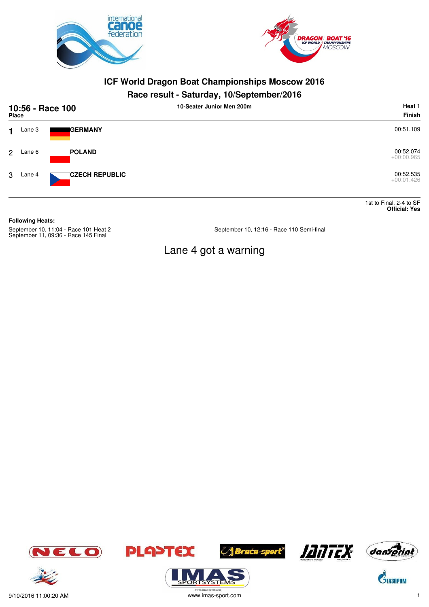



#### **Race result - Saturday, 10/September/2016**

| 10:56 - Race 100<br>Place |        |                       | 10-Seater Junior Men 200m | Heat 1<br>Finish                                |
|---------------------------|--------|-----------------------|---------------------------|-------------------------------------------------|
| 1.                        | Lane 3 | <b>I</b> GERMANY      |                           | 00:51.109                                       |
| $\overline{2}$            | Lane 6 | <b>POLAND</b>         |                           | 00:52.074<br>$+00:00.965$                       |
| 3                         | Lane 4 | <b>CZECH REPUBLIC</b> |                           | 00:52.535<br>$+00:01.426$                       |
|                           |        |                       |                           | 1st to Final, 2-4 to SF<br><b>Official: Yes</b> |

**Following Heats:** September 10, 11:04 - Race 101 Heat 2<br>September 11, 09:36 - Race 145 Final

September 10, 12:16 - Race 110 Semi-final

# Lane 4 got a warning



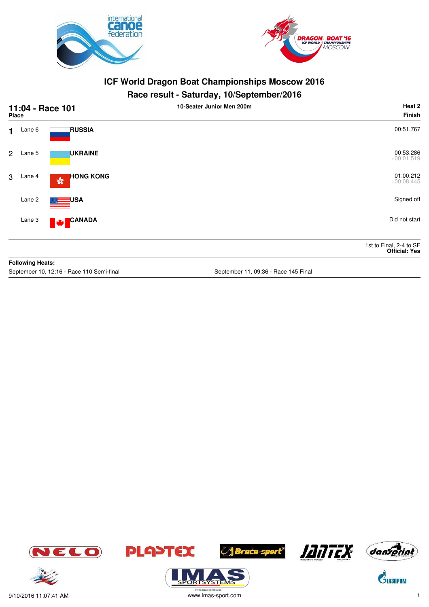



## **Race result - Saturday, 10/September/2016**

| 11:04 - Race 101<br><b>Place</b> |                         |                                                   | 10-Seater Junior Men 200m            | Heat 2<br><b>Finish</b>                         |
|----------------------------------|-------------------------|---------------------------------------------------|--------------------------------------|-------------------------------------------------|
| $\blacksquare$                   | Lane 6                  | <b>RUSSIA</b>                                     |                                      | 00:51.767                                       |
| $\overline{2}$                   | Lane 5                  | <b>UKRAINE</b>                                    |                                      | 00:53.286<br>$+00:01.519$                       |
| 3                                | Lane 4                  | <b>HONG KONG</b><br>$\mathbb{S}^{\mathbb{S}^n}_0$ |                                      | 01:00.212<br>$+00:08.445$                       |
|                                  | Lane 2                  | <b>USA</b>                                        |                                      | Signed off                                      |
|                                  | Lane 3                  | CANADA<br><b>M</b>                                |                                      | Did not start                                   |
|                                  |                         |                                                   |                                      | 1st to Final, 2-4 to SF<br><b>Official: Yes</b> |
|                                  | <b>Following Heats:</b> |                                                   |                                      |                                                 |
|                                  |                         | September 10, 12:16 - Race 110 Semi-final         | September 11, 09:36 - Race 145 Final |                                                 |















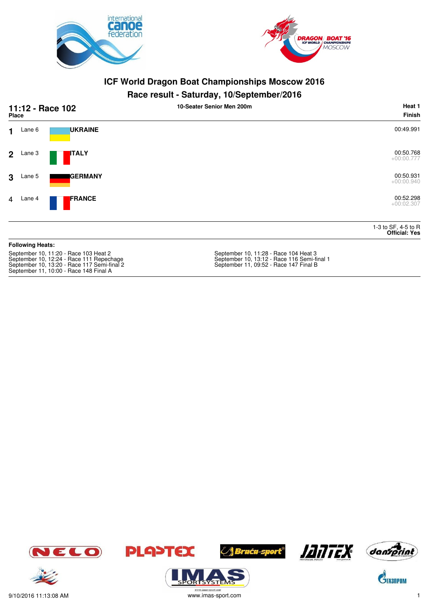



#### **Race result - Saturday, 10/September/2016**

| 11:12 - Race 102<br>Place                                                                                                                                                  |                         |                 | 10-Seater Senior Men 200m                                                                                                      | Heat 1<br><b>Finish</b>                     |
|----------------------------------------------------------------------------------------------------------------------------------------------------------------------------|-------------------------|-----------------|--------------------------------------------------------------------------------------------------------------------------------|---------------------------------------------|
| 1.                                                                                                                                                                         | Lane 6                  | <b>UKRAINE</b>  |                                                                                                                                | 00:49.991                                   |
| $\overline{2}$                                                                                                                                                             | Lane 3                  | <b>ITALY</b>    |                                                                                                                                | 00:50.768<br>$+00:00.777$                   |
| 3                                                                                                                                                                          | Lane 5                  | <b>IGERMANY</b> |                                                                                                                                | 00:50.931<br>$+00:00.940$                   |
| $\overline{4}$                                                                                                                                                             | Lane 4                  | <b>FRANCE</b>   |                                                                                                                                | 00:52.298<br>$+00:02.307$                   |
|                                                                                                                                                                            |                         |                 |                                                                                                                                | 1-3 to SF, 4-5 to R<br><b>Official: Yes</b> |
|                                                                                                                                                                            | <b>Following Heats:</b> |                 |                                                                                                                                |                                             |
| September 10, 11:20 - Race 103 Heat 2<br>September 10, 12:24 - Race 111 Repechage<br>September 10, 13:20 - Race 117 Semi-final 2<br>September 11, 10:00 - Race 148 Final A |                         |                 | September 10, 11:28 - Race 104 Heat 3<br>September 10, 13:12 - Race 116 Semi-final 1<br>September 11, 09:52 - Race 147 Final B |                                             |











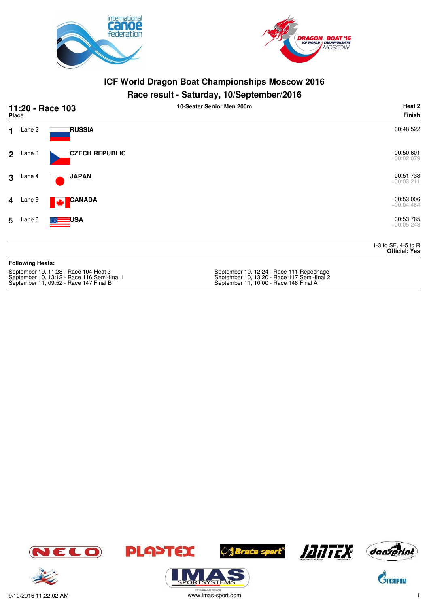



#### **Race result - Saturday, 10/September/2016**

|                | 11:20 - Race 103<br><b>Place</b> |                                      | . .<br>10-Seater Senior Men 200m        | Heat 2<br>Finish                            |
|----------------|----------------------------------|--------------------------------------|-----------------------------------------|---------------------------------------------|
| $\mathbf 1$    | Lane 2                           | <b>RUSSIA</b>                        |                                         | 00:48.522                                   |
| 2 <sup>1</sup> | Lane 3                           | <b>CZECH REPUBLIC</b>                |                                         | 00:50.601<br>$+00:02.079$                   |
| 3 <sup>1</sup> | Lane 4                           | <b>JAPAN</b>                         |                                         | 00:51.733<br>$+00:03.211$                   |
|                | 4 Lane 5                         | <b>CANADA</b><br><b>M</b>            |                                         | 00:53.006<br>$+00:04.484$                   |
| 5              | Lane 6                           | ा ⊟⊒∪SA                              |                                         | 00:53.765<br>$+00:05.243$                   |
|                |                                  |                                      |                                         | 1-3 to SF, 4-5 to R<br><b>Official: Yes</b> |
|                | <b>Following Heats:</b>          |                                      |                                         |                                             |
|                |                                  | Contember 10, 11:00, Does 104 Heat 2 | Contambor 10, 10:04 Daga 111 Department |                                             |

| September 10, 11:28 - Race 104 Heat 3       | September 10, 12:24 - Race 111 Repechage    |
|---------------------------------------------|---------------------------------------------|
| September 10, 13:12 - Race 116 Semi-final 1 | September 10, 13:20 - Race 117 Semi-final 2 |
| September 11, 09:52 - Race 147 Final B      | September 11, 10:00 - Race 148 Final A      |















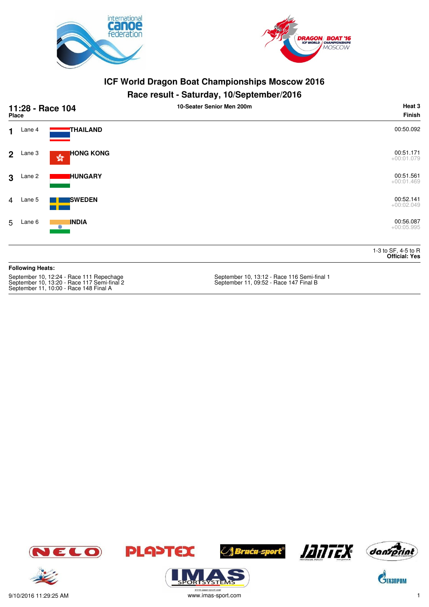



#### **Race result - Saturday, 10/September/2016**

|                | 11:28 - Race 104<br><b>Place</b> |                                                  | 10-Seater Senior Men 200m | Heat 3<br>Finish                            |
|----------------|----------------------------------|--------------------------------------------------|---------------------------|---------------------------------------------|
| $\mathbf 1$    | Lane 4                           | THAILAND                                         |                           | 00:50.092                                   |
|                | $2$ Lane 3                       | <b>HONG KONG</b><br>$\frac{\sqrt{3}}{2\sqrt{3}}$ |                           | 00:51.171<br>$+00:01.079$                   |
| $\mathbf{3}$   | Lane 2                           | <b>I</b> HUNGARY                                 |                           | 00:51.561<br>$+00:01.469$                   |
| $\overline{4}$ | Lane 5                           | <b>SWEDEN</b>                                    |                           | 00:52.141<br>$+00:02.049$                   |
|                | 5 Lane 6                         | <b>INDIA</b><br>6                                |                           | 00:56.087<br>$+00:05.995$                   |
|                |                                  |                                                  |                           | 1-3 to SF, 4-5 to R<br><b>Official: Yes</b> |

#### **Following Heats:**

September 10, 13:20 - Race 117 Semi-final 2 September 11, 09:52 - Race 147 Final B September 11, 10:00 - Race 148 Final A

September 10, 13:12 - Race 116 Semi-final 1<br>September 11, 09:52 - Race 147 Final B













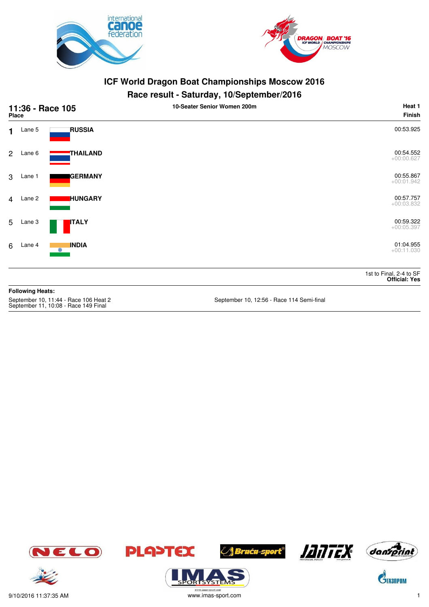



#### **Race result - Saturday, 10/September/2016**

| <b>Place</b>   | 11:36 - Race 105        |                                               | 10-Seater Senior Women 200m             | Heat 1<br><b>Finish</b>                         |
|----------------|-------------------------|-----------------------------------------------|-----------------------------------------|-------------------------------------------------|
| 1              | Lane 5                  | <b>RUSSIA</b>                                 |                                         | 00:53.925                                       |
| $\overline{2}$ | Lane 6                  | THAILAND                                      |                                         | 00:54.552<br>$+00:00.627$                       |
| 3              | Lane 1                  | <b>GERMANY</b>                                |                                         | 00:55.867<br>$+00:01.942$                       |
| $\overline{4}$ | Lane 2                  | <b>HUNGARY</b>                                |                                         | 00:57.757<br>$+00:03.832$                       |
| 5              | Lane 3                  | <b>ITALY</b>                                  |                                         | 00:59.322<br>$+00:05.397$                       |
| 6              | Lane 4                  | <b>INDIA</b><br>$\odot$                       |                                         | 01:04.955<br>$+00:11.030$                       |
|                |                         |                                               |                                         | 1st to Final, 2-4 to SF<br><b>Official: Yes</b> |
|                | <b>Following Heats:</b> | Contambor $10, 11 \cdot 44$ Page $106$ Heat 2 | Contambor 10, 19:56 Dago 114 Cami final |                                                 |

September 10, 11:44 - Race 106 Heat 2<br>September 11, 10:08 - Race 149 Final

September 10, 12:56 - Race 114 Semi-final









.<br>syste





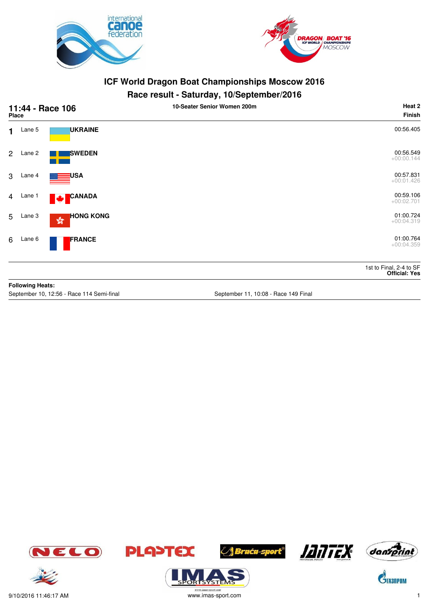



#### **Race result - Saturday, 10/September/2016**

|                | <b>Place</b>            | 11:44 - Race 106                                                       | 10-Seater Senior Women 200m | Heat 2<br><b>Finish</b>                         |
|----------------|-------------------------|------------------------------------------------------------------------|-----------------------------|-------------------------------------------------|
| $\mathbf 1$    | Lane 5                  | <b>UKRAINE</b>                                                         |                             | 00:56.405                                       |
|                | 2 Lane 2                | <b>SWEDEN</b>                                                          |                             | 00:56.549<br>$+00:00.144$                       |
| 3              | Lane 4                  | USA                                                                    |                             | 00:57.831<br>$+00:01.426$                       |
| $\overline{4}$ | Lane 1                  | CANADA<br><b>Maria</b>                                                 |                             | 00:59.106<br>$+00:02.701$                       |
| 5 <sup>5</sup> | Lane 3                  | <b>HONG KONG</b><br>$\mathbb{S}^{\theta_{\mathcal{R}}}_{\mathfrak{d}}$ |                             | 01:00.724<br>$+00:04.319$                       |
| 6              | Lane 6                  | FRANCE                                                                 |                             | 01:00.764<br>$+00:04.359$                       |
|                |                         |                                                                        |                             | 1st to Final, 2-4 to SF<br><b>Official: Yes</b> |
|                | <b>Following Heats:</b> |                                                                        |                             |                                                 |

September 10, 12:56 - Race 114 Semi-final September 11, 10:08 - Race 149 Final









*A Bruću-sport®* 





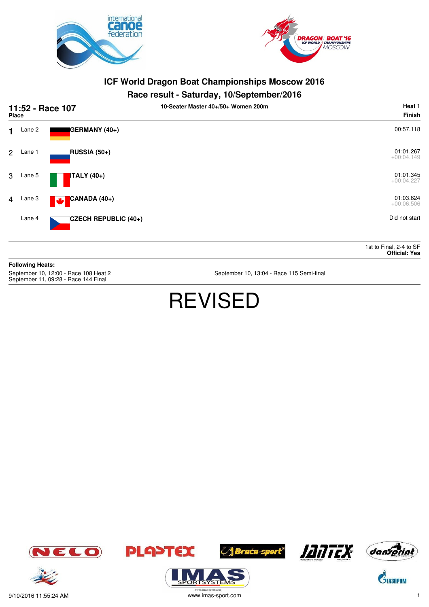



#### **Race result - Saturday, 10/September/2016**

|                | 11:52 - Race 107<br><b>Place</b> |                          | 10-Seater Master 40+/50+ Women 200m |                           |
|----------------|----------------------------------|--------------------------|-------------------------------------|---------------------------|
| 1              | Lane 2                           | GERMANY (40+)            |                                     | 00:57.118                 |
| $\overline{2}$ | Lane 1                           | <b>RUSSIA (50+)</b>      |                                     | 01:01.267<br>$+00:04.149$ |
| 3              | Lane 5                           | <b>ITALY</b> (40+)       |                                     | 01:01.345<br>$+00:04.227$ |
| $\overline{4}$ | Lane 3                           | CANADA (40+)<br><b>W</b> |                                     | 01:03.624<br>$+00:06.506$ |
|                | Lane 4                           | CZECH REPUBLIC (40+)     |                                     | Did not start             |

1st to Final, 2-4 to SF **Official: Yes**

**Following Heats:**

September 10, 12:00 - Race 108 Heat 2<br>September 11, 09:28 - Race 144 Final

September 10, 13:04 - Race 115 Semi-final

# REVISED













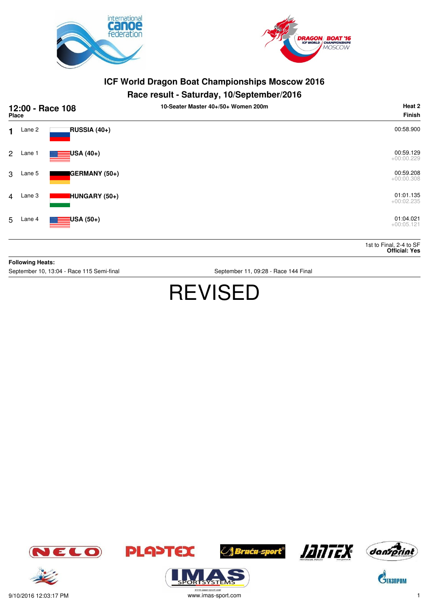



#### **Race result - Saturday, 10/September/2016**

|                | 12:00 - Race 108<br><b>Place</b> |                    | 10-Seater Master 40+/50+ Women 200m | Heat 2<br><b>Finish</b>                         |
|----------------|----------------------------------|--------------------|-------------------------------------|-------------------------------------------------|
| 1.             | Lane 2                           | RUSSIA (40+)       |                                     | 00:58.900                                       |
| $\overline{2}$ | Lane 1                           | $\equiv$ USA (40+) |                                     | 00:59.129<br>$+00:00.229$                       |
| 3              | Lane 5                           | GERMANY (50+)      |                                     | 00:59.208<br>$+00:00.308$                       |
| $\overline{4}$ | Lane 3                           | HUNGARY (50+)      |                                     | 01:01.135<br>$+00:02.235$                       |
| 5              | Lane 4                           | $\equiv$ USA (50+) |                                     | 01:04.021<br>$+00:05.121$                       |
|                |                                  |                    |                                     | 1st to Final, 2-4 to SF<br><b>Official: Yes</b> |

**Following Heats:**

September 10, 13:04 - Race 115 Semi-final September 11, 09:28 - Race 144 Final

# REVISED









**/ Braća-sport<sup>®</sup>** 





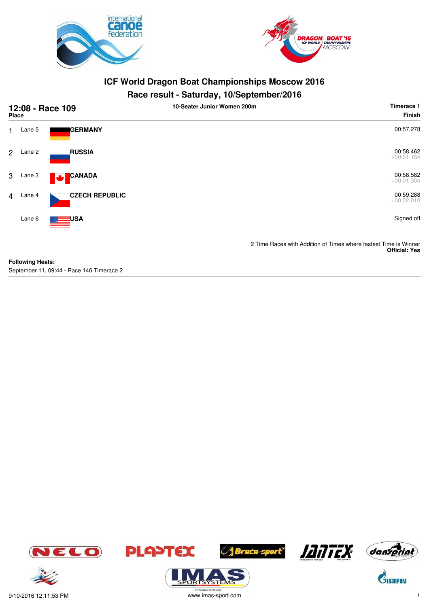



#### **Race result - Saturday, 10/September/2016**

|                | 12:08 - Race 109<br><b>Place</b> |                               | 10-Seater Junior Women 200m | Timerace 1<br><b>Finish</b>                                                              |
|----------------|----------------------------------|-------------------------------|-----------------------------|------------------------------------------------------------------------------------------|
| 1.             | Lane 5                           | <b>GERMANY</b>                |                             | 00:57.278                                                                                |
| $\overline{2}$ | Lane 2                           | <b>RUSSIA</b>                 |                             | 00:58.462<br>$+00:01.184$                                                                |
| 3              | Lane 3                           | <b>CANADA</b><br><b>Maria</b> |                             | 00:58.582<br>$+00:01.304$                                                                |
| $\overline{4}$ | Lane 4                           | <b>CZECH REPUBLIC</b>         |                             | 00:59.288<br>$+00:02.010$                                                                |
|                | Lane 6                           | USA                           |                             | Signed off                                                                               |
|                |                                  |                               |                             | 2 Time Races with Addition of Times where fastest Time is Winner<br><b>Official: Yes</b> |
|                | <b>Following Heats:</b>          |                               |                             |                                                                                          |

September 11, 09:44 - Race 146 Timerace 2









SYSTE







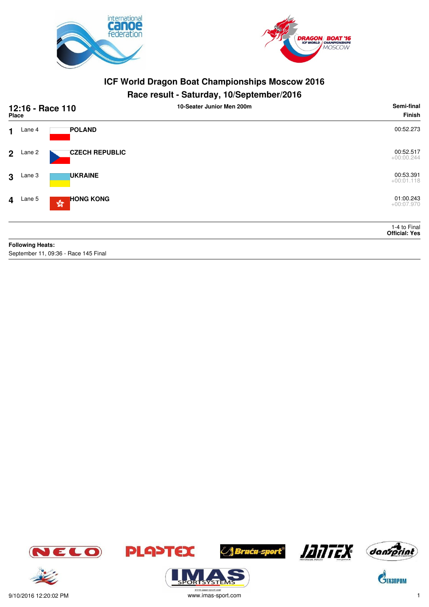



#### **Race result - Saturday, 10/September/2016**

|             | 12:16 - Race 110<br><b>Place</b> |                                                            | 10-Seater Junior Men 200m | Semi-final<br><b>Finish</b>          |
|-------------|----------------------------------|------------------------------------------------------------|---------------------------|--------------------------------------|
| $\mathbf 1$ | Lane 4                           | <b>POLAND</b>                                              |                           | 00:52.273                            |
|             | $2$ Lane 2                       | <b>CZECH REPUBLIC</b>                                      |                           | 00:52.517<br>$+00:00.244$            |
| 3           | Lane 3                           | <b>UKRAINE</b>                                             |                           | 00:53.391<br>$+00:01.118$            |
|             | $4$ Lane 5                       | <b>HONG KONG</b><br>$\mathbf{S}^{\mathbf{G}}_{\mathbf{G}}$ |                           | 01:00.243<br>$+00:07.970$            |
|             |                                  |                                                            |                           | 1-4 to Final<br><b>Official: Yes</b> |
|             | <b>Following Heats:</b>          |                                                            |                           |                                      |

September 11, 09:36 - Race 145 Final













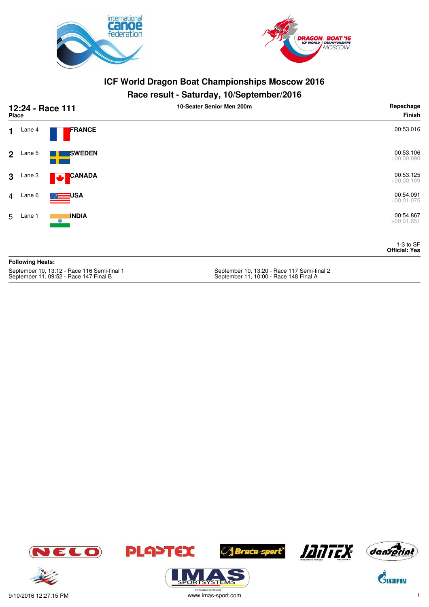



#### **Race result - Saturday, 10/September/2016**

| 12:24 - Race 111<br><b>Place</b>                                                      |                         |                    | 10-Seater Senior Men 200m                                                             | Repechage<br><b>Finish</b>          |
|---------------------------------------------------------------------------------------|-------------------------|--------------------|---------------------------------------------------------------------------------------|-------------------------------------|
| $\mathbf{1}$                                                                          | Lane 4                  | FRANCE             |                                                                                       | 00:53.016                           |
| $\mathbf{2}$                                                                          | Lane 5                  | <b>SWEDEN</b>      |                                                                                       | 00:53.106<br>$+00:00.090$           |
| $\mathbf{3}$                                                                          | Lane 3                  | <b>CANADA</b><br>M |                                                                                       | 00:53.125<br>$+00:00.109$           |
| $\overline{4}$                                                                        | Lane 6                  | <b>USA</b>         |                                                                                       | 00:54.091<br>$+00:01.075$           |
| 5                                                                                     | Lane 1                  | <b>INDIA</b><br>۰  |                                                                                       | 00:54.867<br>$+00:01.851$           |
|                                                                                       |                         |                    |                                                                                       | $1-3$ to SF<br><b>Official: Yes</b> |
|                                                                                       | <b>Following Heats:</b> |                    |                                                                                       |                                     |
| September 10, 13:12 - Race 116 Semi-final 1<br>September 11, 09:52 - Race 147 Final B |                         |                    | September 10, 13:20 - Race 117 Semi-final 2<br>September 11, 10:00 - Race 148 Final A |                                     |









**ORISYSTE** 





 $\mathbf{C}^{\!\!\backslash\!}$ Tasnpom



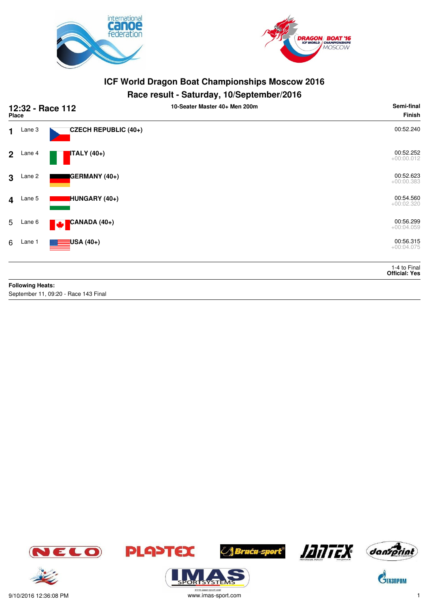



#### **Race result - Saturday, 10/September/2016**

|                         | 12:32 - Race 112<br><b>Place</b> |                                | 10-Seater Master 40+ Men 200m | Semi-final<br><b>Finish</b>          |
|-------------------------|----------------------------------|--------------------------------|-------------------------------|--------------------------------------|
| $\mathbf 1$             | Lane 3                           | CZECH REPUBLIC (40+)           |                               | 00:52.240                            |
| 2 <sup>1</sup>          | Lane 4                           | TALY (40+)                     |                               | 00:52.252<br>$+00:00.012$            |
| $\mathbf{3}$            | Lane 2                           | GERMANY (40+)                  |                               | 00:52.623<br>$+00:00.383$            |
| $\overline{\mathbf{4}}$ | Lane 5                           | HUNGARY (40+)                  |                               | 00:54.560<br>$+00:02.320$            |
| 5                       | Lane 6                           | CANADA (40+)<br><b>Maria</b>   |                               | 00:56.299<br>$+00:04.059$            |
| 6                       | Lane 1                           | <mark>∃</mark> USA (40+)<br>▓▆ |                               | 00:56.315<br>$+00:04.075$            |
|                         |                                  |                                |                               | 1-4 to Final<br><b>Official: Yes</b> |
|                         | <b>Following Heats:</b>          |                                |                               |                                      |

September 11, 09:20 - Race 143 Final















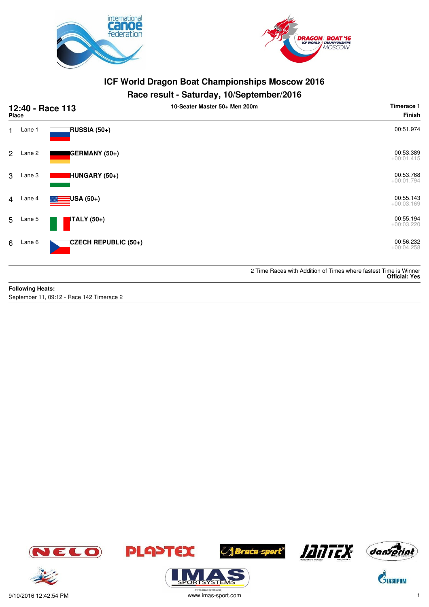



## **Race result - Saturday, 10/September/2016**

|                | 12:40 - Race 113<br><b>Place</b> |                             | 10-Seater Master 50+ Men 200m | Timerace 1<br><b>Finish</b>                                                              |
|----------------|----------------------------------|-----------------------------|-------------------------------|------------------------------------------------------------------------------------------|
| $\blacksquare$ | Lane 1                           | RUSSIA (50+)                |                               | 00:51.974                                                                                |
| 2              | Lane 2                           | GERMANY (50+)               |                               | 00:53.389<br>$+00:01.415$                                                                |
| 3              | Lane 3                           | HUNGARY (50+)               |                               | 00:53.768<br>$+00:01.794$                                                                |
| 4              | Lane 4                           | USA (50+)                   |                               | 00:55.143<br>$+00:03.169$                                                                |
| 5              | Lane 5                           | ITALY (50+)                 |                               | 00:55.194<br>$+00:03.220$                                                                |
| 6              | Lane 6                           | <b>CZECH REPUBLIC (50+)</b> |                               | 00:56.232<br>$+00:04.258$                                                                |
|                |                                  |                             |                               | 2 Time Races with Addition of Times where fastest Time is Winner<br><b>Official: Yes</b> |

#### **Following Heats:**

September 11, 09:12 - Race 142 Timerace 2











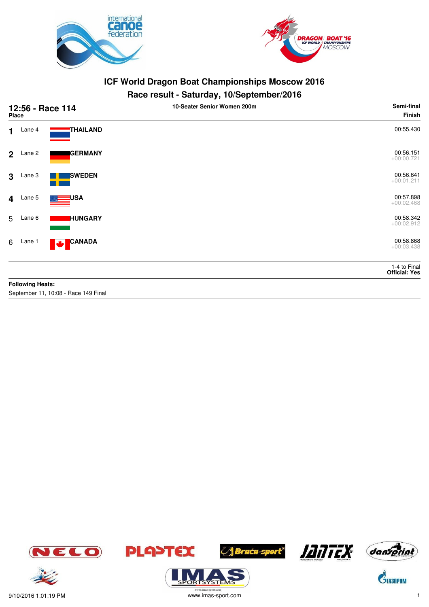



#### **Race result - Saturday, 10/September/2016**

|                         | 12:56 - Race 114<br>Place |                 | . .<br>10-Seater Senior Women 200m | Semi-final<br>Finish                 |
|-------------------------|---------------------------|-----------------|------------------------------------|--------------------------------------|
| $\mathbf 1$             | Lane 4                    | <b>THAILAND</b> |                                    | 00:55.430                            |
| $\overline{2}$          | Lane 2                    | <b>GERMANY</b>  |                                    | 00:56.151<br>$+00:00.721$            |
| 3                       | Lane 3                    | <b>SWEDEN</b>   |                                    | 00:56.641<br>$+00:01.211$            |
| $\overline{\mathbf{4}}$ | Lane 5                    | <b>USA</b>      |                                    | 00:57.898<br>$+00:02.468$            |
| 5                       | Lane 6                    | <b>HUNGARY</b>  |                                    | 00:58.342<br>$+00:02.912$            |
| 6                       | Lane 1                    | CANADA<br>M     |                                    | 00:58.868<br>$+00:03.438$            |
|                         |                           |                 |                                    | 1-4 to Final<br><b>Official: Yes</b> |
|                         | <b>Following Heats:</b>   |                 |                                    |                                      |

September 11, 10:08 - Race 149 Final









**/ Braća-sport<sup>®</sup>** 

9/10/2016 1:01:19 PM www.imas-sport.com 1



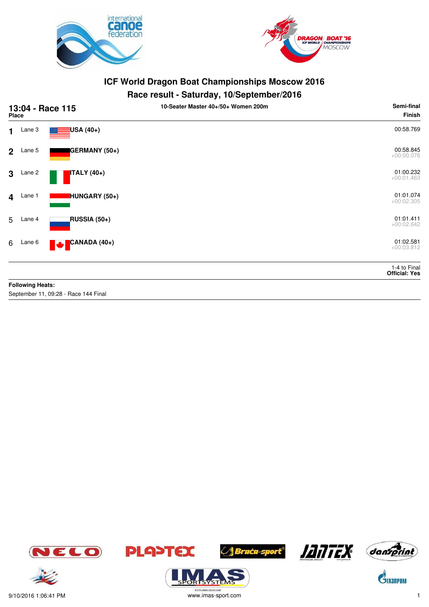



## **Race result - Saturday, 10/September/2016**

|                         | 13:04 - Race 115<br>Place |                              | 10-Seater Master 40+/50+ Women 200m | Semi-final<br><b>Finish</b>          |
|-------------------------|---------------------------|------------------------------|-------------------------------------|--------------------------------------|
| 1                       | Lane 3                    | USA (40+)                    |                                     | 00:58.769                            |
| $\overline{2}$          | Lane 5                    | GERMANY (50+)                |                                     | 00:58.845<br>$+00:00.076$            |
| 3                       | Lane 2                    | <b>ITALY</b> (40+)           |                                     | 01:00.232<br>$+00:01.463$            |
| $\overline{\mathbf{4}}$ | Lane 1                    | HUNGARY (50+)                |                                     | 01:01.074<br>$+00:02.305$            |
| 5                       | Lane 4                    | <b>RUSSIA (50+)</b>          |                                     | 01:01.411<br>$+00:02.642$            |
| 6                       | Lane 6                    | CANADA (40+)<br>$\mathbf{r}$ |                                     | 01:02.581<br>$+00:03.812$            |
|                         |                           |                              |                                     | 1-4 to Final<br><b>Official: Yes</b> |
|                         | <b>Following Heats:</b>   |                              |                                     |                                      |

September 11, 09:28 - Race 144 Final















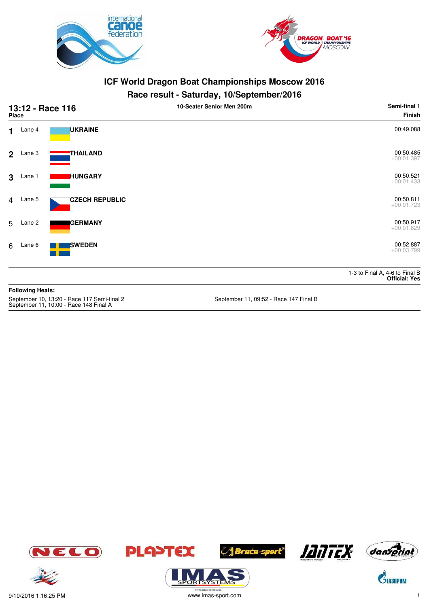



# **Race result - Saturday, 10/September/2016**

|                | 13:12 - Race 116<br>Place |                       | 10-Seater Senior Men 200m | Semi-final 1<br>Finish                                 |
|----------------|---------------------------|-----------------------|---------------------------|--------------------------------------------------------|
| 1.             | Lane 4                    | <b>UKRAINE</b>        |                           | 00:49.088                                              |
| $2^{\circ}$    | Lane 3                    | THAILAND              |                           | 00:50.485<br>$+00:01.397$                              |
| 3              | Lane 1                    | <b>HUNGARY</b>        |                           | 00:50.521<br>$+00:01.433$                              |
| $\overline{4}$ | Lane 5                    | <b>CZECH REPUBLIC</b> |                           | 00:50.811<br>$+00:01.723$                              |
| 5              | Lane 2                    | <b>GERMANY</b>        |                           | 00:50.917<br>$+00:01.829$                              |
| 6              | Lane 6                    | <b>SWEDEN</b>         |                           | 00:52.887<br>$+00:03.799$                              |
|                |                           |                       |                           | 1-3 to Final A, 4-6 to Final B<br><b>Official: Yes</b> |
|                | <b>Following Heats:</b>   |                       |                           |                                                        |

September 10, 13:20 - Race 117 Semi-final 2 September 11, 09:52 - Race 147 Final B September 11, 10:00 - Race 148 Final A









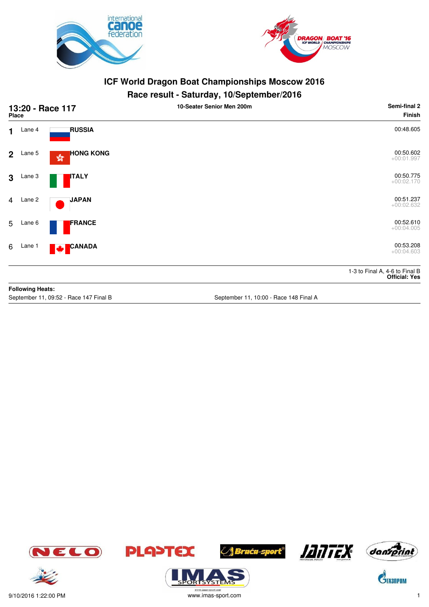



#### **Race result - Saturday, 10/September/2016**

|                                        | <b>Place</b>            | 13:20 - Race 117          | 10-Seater Senior Men 200m              | Semi-final 2<br><b>Finish</b>                          |
|----------------------------------------|-------------------------|---------------------------|----------------------------------------|--------------------------------------------------------|
| 1                                      | Lane 4                  | <b>RUSSIA</b>             |                                        | 00:48.605                                              |
| $\overline{2}$                         | Lane 5                  | <b>HONG KONG</b><br>g     |                                        | 00:50.602<br>$+00:01.997$                              |
| 3                                      | Lane 3                  | <b>ITALY</b>              |                                        | 00:50.775<br>$+00:02.170$                              |
| 4                                      | Lane 2                  | <b>JAPAN</b>              |                                        | 00:51.237<br>$+00:02.632$                              |
| 5                                      | Lane 6                  | <b>FRANCE</b>             |                                        | 00:52.610<br>$+00:04.005$                              |
| 6                                      | Lane 1                  | <b>CANADA</b><br><b>M</b> |                                        | 00:53.208<br>$+00:04.603$                              |
|                                        |                         |                           |                                        | 1-3 to Final A, 4-6 to Final B<br><b>Official: Yes</b> |
|                                        | <b>Following Heats:</b> |                           |                                        |                                                        |
| September 11, 09:52 - Race 147 Final B |                         |                           | September 11, 10:00 - Race 148 Final A |                                                        |















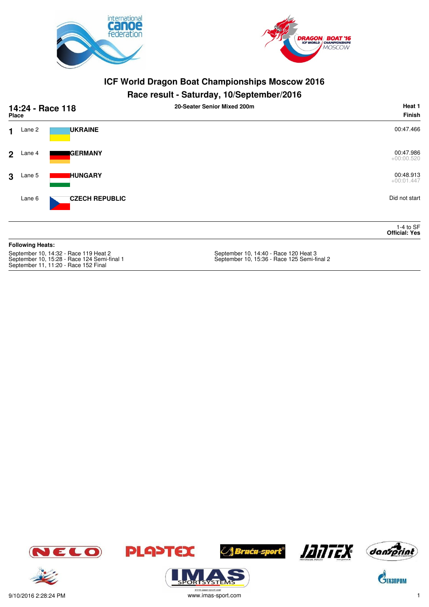



# **Race result - Saturday, 10/September/2016**

|                                       | 14:24 - Race 118<br><b>Place</b> |                       | 20-Seater Senior Mixed 200m           | Heat 1<br><b>Finish</b>             |
|---------------------------------------|----------------------------------|-----------------------|---------------------------------------|-------------------------------------|
| $\mathbf 1$                           | Lane 2                           | <b>UKRAINE</b>        |                                       | 00:47.466                           |
|                                       | $2$ Lane 4                       | <b>GERMANY</b>        |                                       | 00:47.986<br>$+00:00.520$           |
| 3                                     | Lane 5                           | <b>HUNGARY</b>        |                                       | 00:48.913<br>$+00:01.447$           |
|                                       | Lane 6                           | <b>CZECH REPUBLIC</b> |                                       | Did not start                       |
|                                       |                                  |                       |                                       | 1-4 to $SF$<br><b>Official: Yes</b> |
|                                       | <b>Following Heats:</b>          |                       |                                       |                                     |
| September 10, 14:32 - Race 119 Heat 2 |                                  |                       | September 10, 14:40 - Race 120 Heat 3 |                                     |

September 10, 15:28 - Race 124 Semi-final 1 September 10, 15:36 - Race 125 Semi-final 2 September 11, 11:20 - Race 152 Final













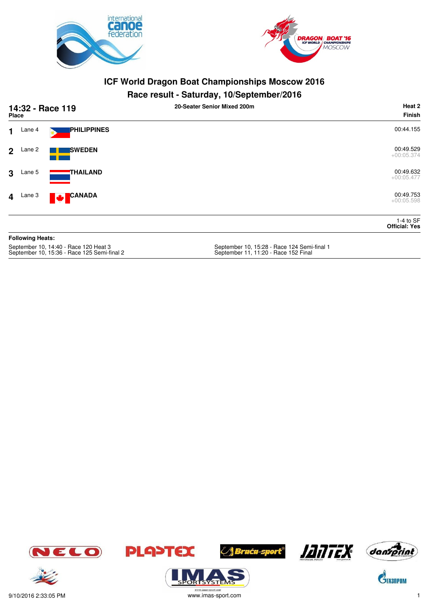



#### **Race result - Saturday, 10/September/2016**

|                | 14:32 - Race 119<br>Place |                           | . .<br>20-Seater Senior Mixed 200m | Heat 2<br><b>Finish</b>             |
|----------------|---------------------------|---------------------------|------------------------------------|-------------------------------------|
| $\mathbf 1$    | Lane 4                    | PHILIPPINES               |                                    | 00:44.155                           |
| 2 <sup>1</sup> | Lane 2                    | <b>SWEDEN</b>             |                                    | 00:49.529<br>$+00:05.374$           |
| $\mathbf{3}$   | Lane 5                    | <b>THAILAND</b>           |                                    | 00:49.632<br>$+00:05.477$           |
|                | $4$ Lane 3                | <b>CANADA</b><br><b>A</b> |                                    | 00:49.753<br>$+00:05.598$           |
|                |                           |                           |                                    | 1-4 to $SF$<br><b>Official: Yes</b> |
|                | <b>Following Heats:</b>   |                           |                                    |                                     |
|                |                           |                           |                                    |                                     |

September 10, 14:40 - Race 120 Heat 3<br>September 10, 15:36 - Race 125 Semi-final 2

September 10, 15:28 - Race 124 Semi-final 1<br>September 11, 11:20 - Race 152 Final







ORTSYSTE







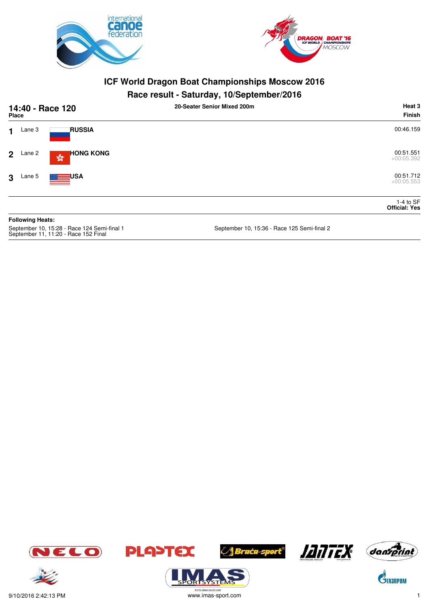



#### **Race result - Saturday, 10/September/2016**

| <b>Place</b>   |        | 14:40 - Race 120                                 | 20-Seater Senior Mixed 200m | Heat 3<br>Finish                    |
|----------------|--------|--------------------------------------------------|-----------------------------|-------------------------------------|
| 1              | Lane 3 | <b>RUSSIA</b>                                    |                             | 00:46.159                           |
| 2 <sup>1</sup> | Lane 2 | <b>HONG KONG</b><br>$\frac{\sqrt{3}}{2\sqrt{6}}$ |                             | 00:51.551<br>$+00:05.392$           |
| 3              | Lane 5 | <b>ENGLISHED USA</b>                             |                             | 00:51.712<br>$+00:05.553$           |
|                |        |                                                  |                             | 1-4 to $SF$<br><b>Official: Yes</b> |

**Following Heats:** September 10, 15:28 - Race 124 Semi-final 1 September 10, 15:36 - Race 125 Semi-final 2 September 11, 11:20 - Race 152 Final













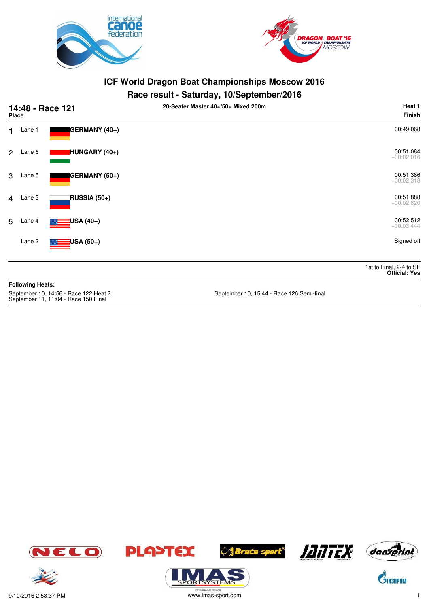



#### **Race result - Saturday, 10/September/2016**

| 14:48 - Race 121<br>Place |                         |               | 20-Seater Master 40+/50+ Mixed 200m | Heat 1<br>Finish                                |
|---------------------------|-------------------------|---------------|-------------------------------------|-------------------------------------------------|
| 1                         | Lane 1                  | GERMANY (40+) |                                     | 00:49.068                                       |
| 2                         | Lane 6                  | HUNGARY (40+) |                                     | 00:51.084<br>$+00:02.016$                       |
| 3                         | Lane 5                  | GERMANY (50+) |                                     | 00:51.386<br>$+00:02.318$                       |
| $\overline{4}$            | Lane 3                  | RUSSIA (50+)  |                                     | 00:51.888<br>$+00:02.820$                       |
| 5                         | Lane 4                  | USA (40+)     |                                     | 00:52.512<br>$+00:03.444$                       |
|                           | Lane 2                  | USA (50+)     |                                     | Signed off                                      |
|                           |                         |               |                                     | 1st to Final, 2-4 to SF<br><b>Official: Yes</b> |
|                           | <b>Following Heats:</b> |               |                                     |                                                 |

September 10, 14:56 - Race 122 Heat 2<br>September 11, 11:04 - Race 150 Final

September 10, 15:44 - Race 126 Semi-final









ORTSYSTE





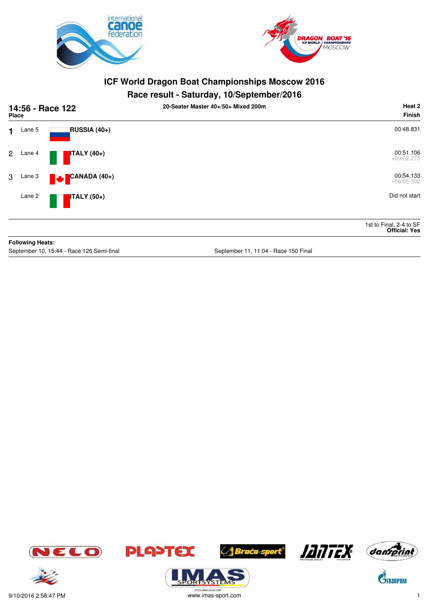



#### **Race result - Saturday, 10/September/2016**

|              | 14:56 - Race 122<br><b>Place</b> |                            | 20-Seater Master 40+/50+ Mixed 200m | Heat 2<br>Finish                                |
|--------------|----------------------------------|----------------------------|-------------------------------------|-------------------------------------------------|
| $\mathbf 1$  | Lane 5                           | RUSSIA (40+)               |                                     | 00:48.831                                       |
| $\mathbf{2}$ | Lane 4                           | $\blacksquare$ ITALY (40+) |                                     | 00:51.106<br>$+00:02.275$                       |
| 3            | Lane 3                           | CANADA (40+)<br><b>A</b>   |                                     | 00:54.133<br>$+00:05.302$                       |
|              | Lane 2                           | <b>ITALY</b> (50+)         |                                     | Did not start                                   |
|              |                                  |                            |                                     | 1st to Final, 2-4 to SF<br><b>Official: Yes</b> |
|              | <b>Following Heats:</b>          |                            |                                     |                                                 |

September 10, 15:44 - Race 126 Semi-final September 11, 11:04 - Race 150 Final









.<br>syste





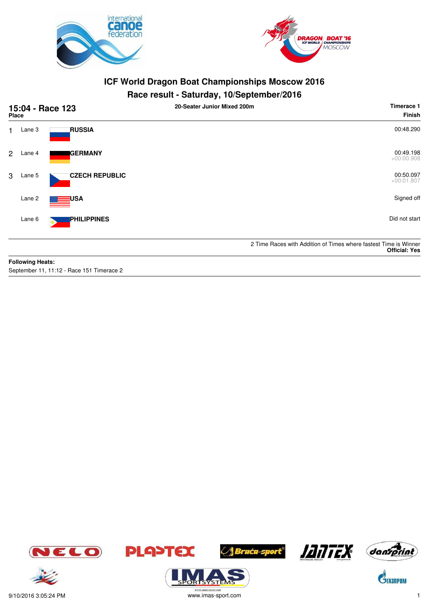



## **Race result - Saturday, 10/September/2016**

| 15:04 - Race 123<br><b>Place</b> |                         |                       | 20-Seater Junior Mixed 200m | Timerace 1<br><b>Finish</b>                                                              |
|----------------------------------|-------------------------|-----------------------|-----------------------------|------------------------------------------------------------------------------------------|
| 1.                               | Lane 3                  | <b>RUSSIA</b>         |                             | 00:48.290                                                                                |
| $\overline{2}$                   | Lane 4                  | <b>GERMANY</b>        |                             | 00:49.198<br>$+00:00.908$                                                                |
| 3                                | Lane 5                  | <b>CZECH REPUBLIC</b> |                             | 00:50.097<br>$+00:01.807$                                                                |
|                                  | Lane 2                  | USA                   |                             | Signed off                                                                               |
|                                  | Lane 6                  | <b>PHILIPPINES</b>    |                             | Did not start                                                                            |
|                                  |                         |                       |                             | 2 Time Races with Addition of Times where fastest Time is Winner<br><b>Official: Yes</b> |
|                                  | <b>Following Heats:</b> |                       |                             |                                                                                          |

September 11, 11:12 - Race 151 Timerace 2















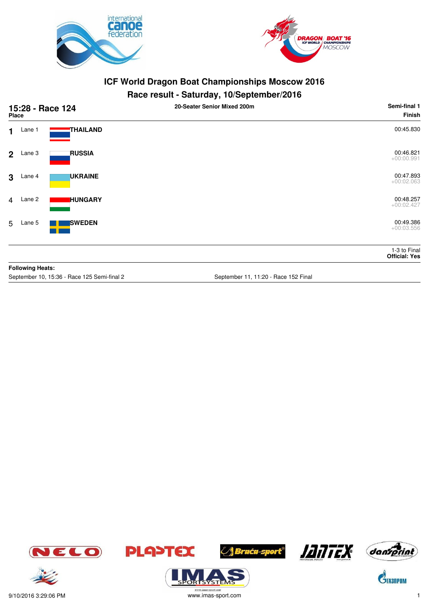



## **Race result - Saturday, 10/September/2016**

|              | 15:28 - Race 124<br><b>Place</b> |                | 20-Seater Senior Mixed 200m | Semi-final 1<br><b>Finish</b>        |
|--------------|----------------------------------|----------------|-----------------------------|--------------------------------------|
| $\mathbf 1$  | Lane 1                           | THAILAND       |                             | 00:45.830                            |
|              | $2$ Lane 3                       | <b>RUSSIA</b>  |                             | 00:46.821<br>$+00:00.991$            |
| $\mathbf{3}$ | Lane 4                           | <b>UKRAINE</b> |                             | 00:47.893<br>$+00:02.063$            |
|              | 4 Lane 2                         | <b>HUNGARY</b> |                             | 00:48.257<br>$+00:02.427$            |
| 5            | Lane 5                           | <b>SWEDEN</b>  |                             | 00:49.386<br>$+00:03.556$            |
|              |                                  |                |                             | 1-3 to Final<br><b>Official: Yes</b> |
|              | <b>Following Heats:</b>          |                |                             |                                      |

September 10, 15:36 - Race 125 Semi-final 2 September 11, 11:20 - Race 152 Final







**ORISYSTE** 







 $\mathbf{C}^{\!\!\lozenge\!}$ TA3NPOM

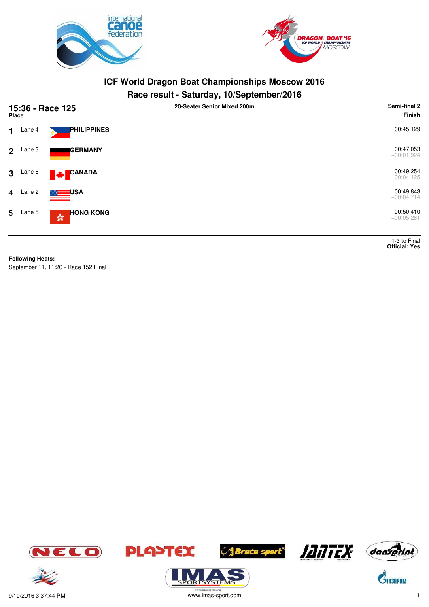



## **Race result - Saturday, 10/September/2016**

|                | 15:36 - Race 125<br><b>Place</b> |                                                                         | 20-Seater Senior Mixed 200m | Semi-final 2<br><b>Finish</b>        |
|----------------|----------------------------------|-------------------------------------------------------------------------|-----------------------------|--------------------------------------|
| $\mathbf 1$    | Lane 4                           | PHILIPPINES                                                             |                             | 00:45.129                            |
| 2 <sup>1</sup> | Lane 3                           | <b>GERMANY</b>                                                          |                             | 00:47.053<br>$+00:01.924$            |
| $\mathbf{3}$   | Lane 6                           | CANADA<br>M                                                             |                             | 00:49.254<br>$+00:04.125$            |
| $\overline{4}$ | Lane 2                           | <b>USA</b>                                                              |                             | 00:49.843<br>$+00:04.714$            |
|                | 5 Lane 5                         | <b>HONG KONG</b><br>$\mathbb{S}^{\mathbb{S}^{\mathbb{R}}}_{\mathbb{Q}}$ |                             | 00:50.410<br>$+00:05.281$            |
|                |                                  |                                                                         |                             | 1-3 to Final<br><b>Official: Yes</b> |
|                | <b>Following Heats:</b>          |                                                                         |                             |                                      |
|                |                                  | September 11, 11:20 - Race 152 Final                                    |                             |                                      |









ORTSYSTER







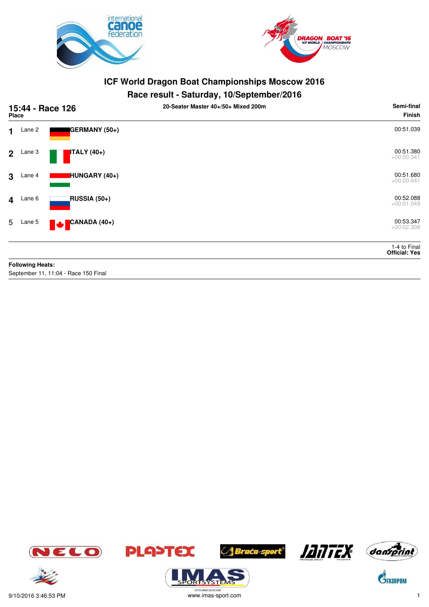



## **Race result - Saturday, 10/September/2016**

|                | 15:44 - Race 126<br><b>Place</b> |                                      | 20-Seater Master 40+/50+ Mixed 200m | Semi-final<br>Finish                 |
|----------------|----------------------------------|--------------------------------------|-------------------------------------|--------------------------------------|
| 1              | Lane 2                           | GERMANY (50+)                        |                                     | 00:51.039                            |
| $\overline{2}$ | Lane 3                           | ITALY (40+)                          |                                     | 00:51.380<br>$+00:00.341$            |
| 3              | Lane 4                           | HUNGARY (40+)                        |                                     | 00:51.680<br>$+00:00.641$            |
| $\overline{4}$ | Lane 6                           | RUSSIA (50+)                         |                                     | 00:52.088<br>$+00:01.049$            |
| 5              | Lane 5                           | CANADA (40+)<br><b>Maria</b>         |                                     | 00:53.347<br>$+00:02.308$            |
|                |                                  |                                      |                                     | 1-4 to Final<br><b>Official: Yes</b> |
|                | <b>Following Heats:</b>          |                                      |                                     |                                      |
|                |                                  | September 11, 11:04 - Race 150 Final |                                     |                                      |





**ORISYSTEM** 







 $\mathbf{\hat{S}}$ TA3NPOM

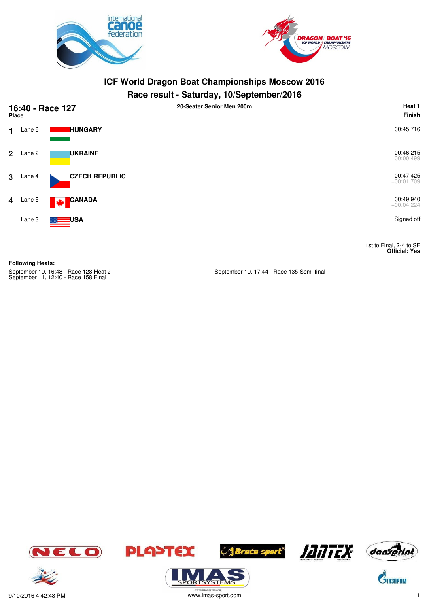



#### **Race result - Saturday, 10/September/2016**

|                | 16:40 - Race 127<br><b>Place</b> |                       | 20-Seater Senior Men 200m | Heat 1<br><b>Finish</b>                         |
|----------------|----------------------------------|-----------------------|---------------------------|-------------------------------------------------|
| $\mathbf 1$    | Lane 6                           | <b>HUNGARY</b>        |                           | 00:45.716                                       |
| $\overline{2}$ | Lane 2                           | <b>UKRAINE</b>        |                           | 00:46.215<br>$+00:00.499$                       |
| 3              | Lane 4                           | <b>CZECH REPUBLIC</b> |                           | 00:47.425<br>$+00:01.709$                       |
| $\overline{4}$ | Lane 5                           | CANADA<br><b>Mar</b>  |                           | 00:49.940<br>$+00:04.224$                       |
|                | Lane 3                           | <b>EEE</b> USA        |                           | Signed off                                      |
|                |                                  |                       |                           | 1st to Final, 2-4 to SF<br><b>Official: Yes</b> |
|                | <b>Following Heats:</b>          |                       |                           |                                                 |

September 10, 16:48 - Race 128 Heat 2<br>September 11, 12:40 - Race 158 Final

September 10, 17:44 - Race 135 Semi-final













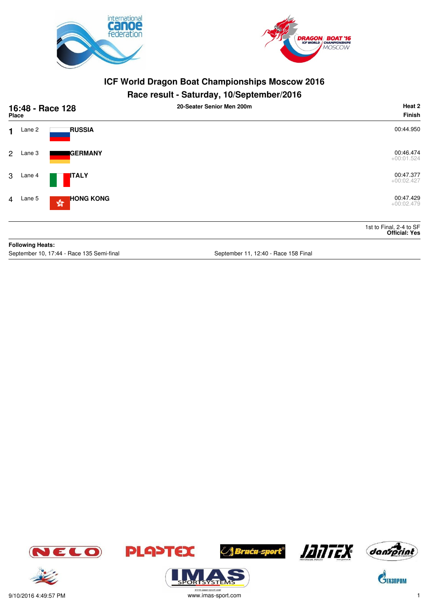



#### **Race result - Saturday, 10/September/2016**

| <b>Place</b>   |                         | 16:48 - Race 128                                 | 20-Seater Senior Men 200m            | Heat 2<br><b>Finish</b>                         |
|----------------|-------------------------|--------------------------------------------------|--------------------------------------|-------------------------------------------------|
| $\mathbf 1$    | Lane 2                  | <b>RUSSIA</b>                                    |                                      | 00:44.950                                       |
|                | 2 Lane 3                | <b>IGERMANY</b>                                  |                                      | 00:46.474<br>$+00:01.524$                       |
| 3 <sup>1</sup> | Lane 4                  | <b>I</b> ITALY                                   |                                      | 00:47.377<br>$+00:02.427$                       |
|                | 4 Lane 5                | <b>HONG KONG</b><br>$\frac{\sqrt{3}}{2\sqrt{3}}$ |                                      | 00:47.429<br>$+00:02.479$                       |
|                |                         |                                                  |                                      | 1st to Final, 2-4 to SF<br><b>Official: Yes</b> |
|                | <b>Following Heats:</b> |                                                  |                                      |                                                 |
|                |                         | September 10, 17:44 - Race 135 Semi-final        | September 11, 12:40 - Race 158 Final |                                                 |







**ORTSYSTER** 







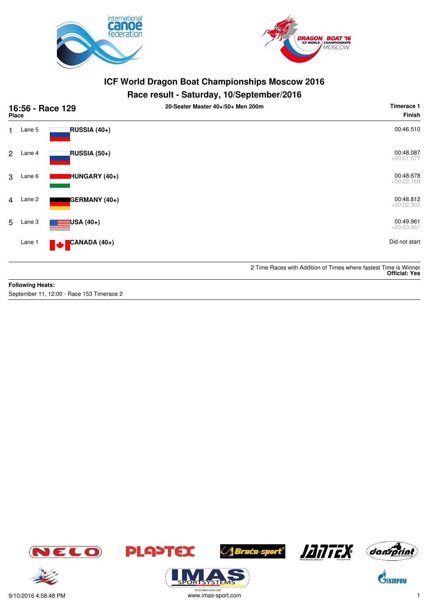



#### **Race result - Saturday, 10/September/2016**

| 16:56 - Race 129<br><b>Place</b> |        |                          | 20-Seater Master 40+/50+ Men 200m | Timerace 1<br><b>Finish</b>                                                              |
|----------------------------------|--------|--------------------------|-----------------------------------|------------------------------------------------------------------------------------------|
| 1.                               | Lane 5 | RUSSIA (40+)             |                                   | 00:46.510                                                                                |
| $\overline{2}$                   | Lane 4 | RUSSIA (50+)             |                                   | 00:48.087<br>$+00:01.577$                                                                |
| 3                                | Lane 6 | HUNGARY (40+)            |                                   | 00:48.678<br>$+00:02.168$                                                                |
| 4                                | Lane 2 | GERMANY (40+)            |                                   | 00:48.812<br>$+00:02.302$                                                                |
| 5                                | Lane 3 | <mark>∃</mark> USA (40+) |                                   | 00:49.961<br>$+00:03.451$                                                                |
|                                  | Lane 1 | CANADA (40+)<br>M        |                                   | Did not start                                                                            |
|                                  |        |                          |                                   | 2 Time Races with Addition of Times where fastest Time is Winner<br><b>Official: Yes</b> |

#### **Following Heats:**

September 11, 12:00 - Race 153 Timerace 2









.<br>syste





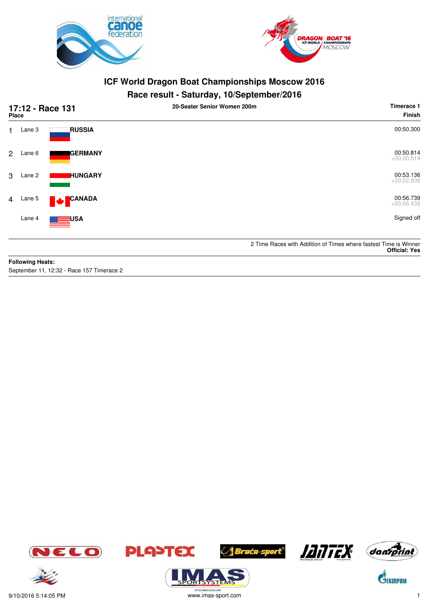



# **Race result - Saturday, 10/September/2016**

|                | 17:12 - Race 131<br><b>Place</b> |                           | 20-Seater Senior Women 200m | Timerace 1<br><b>Finish</b>                                                              |
|----------------|----------------------------------|---------------------------|-----------------------------|------------------------------------------------------------------------------------------|
| 1.             | Lane 3                           | <b>RUSSIA</b>             |                             | 00:50.300                                                                                |
| $\overline{2}$ | Lane 6                           | <b>IGERMANY</b>           |                             | 00:50.814<br>$+00:00.514$                                                                |
| 3              | Lane 2                           | <b>IHUNGARY</b>           |                             | 00:53.136<br>$+00:02.836$                                                                |
| $\overline{4}$ | Lane 5                           | <b>CANADA</b><br><b>W</b> |                             | 00:56.739<br>$+00:06.439$                                                                |
|                | Lane 4                           | ≡⊟USA                     |                             | Signed off                                                                               |
|                |                                  |                           |                             | 2 Time Races with Addition of Times where fastest Time is Winner<br><b>Official: Yes</b> |
|                | Eallandan Haatar                 |                           |                             |                                                                                          |

**Following Heats:** September 11, 12:32 - Race 157 Timerace 2













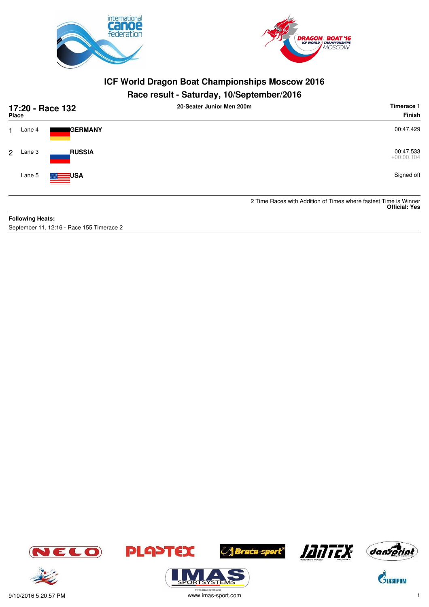



## **Race result - Saturday, 10/September/2016**

| <b>Place</b> |                         | 17:20 - Race 132 | 20-Seater Junior Men 200m | Timerace 1<br>Finish                                                                     |
|--------------|-------------------------|------------------|---------------------------|------------------------------------------------------------------------------------------|
|              | Lane 4                  | <b>I</b> GERMANY |                           | 00:47.429                                                                                |
| 2            | Lane 3                  | <b>RUSSIA</b>    |                           | 00:47.533<br>$+00:00.104$                                                                |
|              | Lane 5                  | <b>LEE</b> USA   |                           | Signed off                                                                               |
|              |                         |                  |                           | 2 Time Races with Addition of Times where fastest Time is Winner<br><b>Official: Yes</b> |
|              | <b>Following Heats:</b> |                  |                           |                                                                                          |

September 11, 12:16 - Race 155 Timerace 2









**ORISYSTE** 





 $\mathbf{\hat{G}}$ TA3NPOM





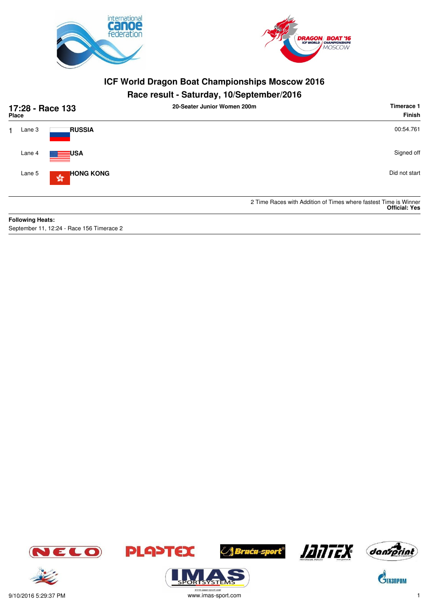



#### **Race result - Saturday, 10/September/2016**

| 17:28 - Race 133<br><b>Place</b> |                                                            | 20-Seater Junior Women 200m                                      | Timerace 1<br>Finish |
|----------------------------------|------------------------------------------------------------|------------------------------------------------------------------|----------------------|
|                                  | <b>RUSSIA</b><br>Lane 3                                    |                                                                  | 00:54.761            |
|                                  | Lane 4<br>≡⊒USA                                            |                                                                  | Signed off           |
|                                  | <b>HONG KONG</b><br>Lane 5<br>$\frac{\sqrt{3}}{2\sqrt{3}}$ |                                                                  | Did not start        |
|                                  |                                                            | 2 Time Races with Addition of Times where fastest Time is Winner | <b>Official: Yes</b> |
|                                  | <b>Following Heats:</b>                                    |                                                                  |                      |

September 11, 12:24 - Race 156 Timerace 2















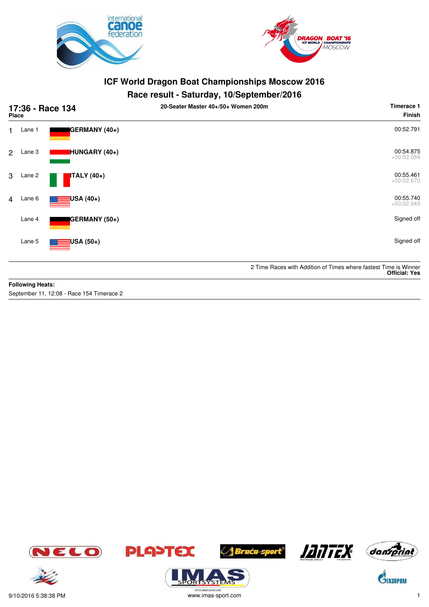



#### **Race result - Saturday, 10/September/2016**

| 17:36 - Race 134<br>Place |        |                          | 20-Seater Master 40+/50+ Women 200m | Timerace 1<br><b>Finish</b>                                                              |
|---------------------------|--------|--------------------------|-------------------------------------|------------------------------------------------------------------------------------------|
| 1                         | Lane 1 | GERMANY (40+)            |                                     | 00:52.791                                                                                |
| 2                         | Lane 3 | HUNGARY (40+)            |                                     | 00:54.875<br>$+00:02.084$                                                                |
| 3                         | Lane 2 | <b>ITALY</b> (40+)       |                                     | 00:55.461<br>$+00:02.670$                                                                |
| $\overline{4}$            | Lane 6 | <mark>:</mark> USA (40+) |                                     | 00:55.740<br>$+00:02.949$                                                                |
|                           | Lane 4 | GERMANY (50+)            |                                     | Signed off                                                                               |
|                           | Lane 5 | <mark>:</mark> USA (50+) |                                     | Signed off                                                                               |
|                           |        |                          |                                     | 2 Time Races with Addition of Times where fastest Time is Winner<br><b>Official: Yes</b> |

#### **Following Heats:**

September 11, 12:08 - Race 154 Timerace 2